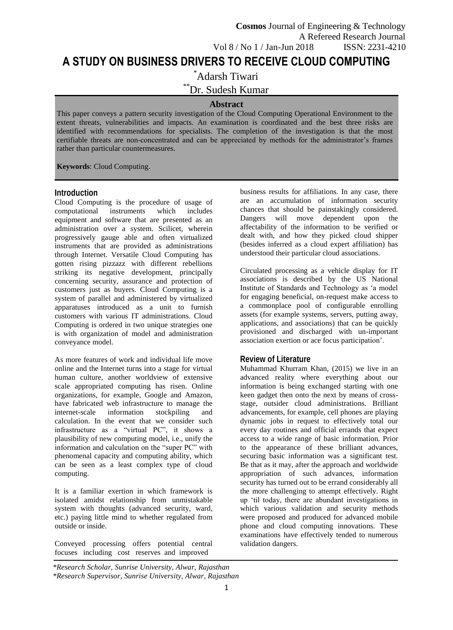# **A STUDY ON BUSINESS DRIVERS TO RECEIVE CLOUD COMPUTING**

\*Adarsh Tiwari

\*\*Dr. Sudesh Kumar

#### **Abstract**

This paper conveys a pattern security investigation of the Cloud Computing Operational Environment to the extent threats, vulnerabilities and impacts. An examination is coordinated and the best three risks are identified with recommendations for specialists. The completion of the investigation is that the most certifiable threats are non-concentrated and can be appreciated by methods for the administrator's frames rather than particular countermeasures.

**Keywords**: Cloud Computing.

#### **Introduction**

Cloud Computing is the procedure of usage of computational instruments which includes equipment and software that are presented as an administration over a system. Scilicet, wherein progressively gauge able and often virtualized instruments that are provided as administrations through Internet. Versatile Cloud Computing has gotten rising pizzazz with different rebellions striking its negative development, principally concerning security, assurance and protection of customers just as buyers. Cloud Computing is a system of parallel and administered by virtualized apparatuses introduced as a unit to furnish customers with various IT administrations. Cloud Computing is ordered in two unique strategies one is with organization of model and administration conveyance model.

As more features of work and individual life move online and the Internet turns into a stage for virtual human culture, another worldview of extensive scale appropriated computing has risen. Online organizations, for example, Google and Amazon, have fabricated web infrastructure to manage the internet-scale information stockpiling and internet-scale information stockpiling and calculation. In the event that we consider such infrastructure as a "virtual PC", it shows a plausibility of new computing model, i.e., unify the information and calculation on the "super PC" with phenomenal capacity and computing ability, which can be seen as a least complex type of cloud computing.

It is a familiar exertion in which framework is isolated amidst relationship from unmistakable system with thoughts (advanced security, ward, etc.) paying little mind to whether regulated from outside or inside.

Conveyed processing offers potential central focuses including cost reserves and improved

business results for affiliations. In any case, there are an accumulation of information security chances that should be painstakingly considered. Dangers will move dependent upon the affectability of the information to be verified or dealt with, and how they picked cloud shipper (besides inferred as a cloud expert affiliation) has understood their particular cloud associations.

Circulated processing as a vehicle display for IT associations is described by the US National Institute of Standards and Technology as 'a model for engaging beneficial, on-request make access to a commonplace pool of configurable enrolling assets (for example systems, servers, putting away, applications, and associations) that can be quickly provisioned and discharged with un-important association exertion or ace focus participation'.

# **Review of Literature**

[Muhammad Khurram Khan,](https://ieeexplore.ieee.org/author/37086136144) (2015) we live in an advanced reality where everything about our information is being exchanged starting with one keen gadget then onto the next by means of crossstage, outsider cloud administrations. Brilliant advancements, for example, cell phones are playing dynamic jobs in request to effectively total our every day routines and official errands that expect access to a wide range of basic information. Prior to the appearance of these brilliant advances, securing basic information was a significant test. Be that as it may, after the approach and worldwide appropriation of such advances, information security has turned out to be errand considerably all the more challenging to attempt effectively. Right up 'til today, there are abundant investigations in which various validation and security methods were proposed and produced for advanced mobile phone and cloud computing innovations. These examinations have effectively tended to numerous validation dangers.

*<sup>\*</sup>Research Scholar, Sunrise University, Alwar, Rajasthan \*Research Supervisor, Sunrise University, Alwar, Rajasthan*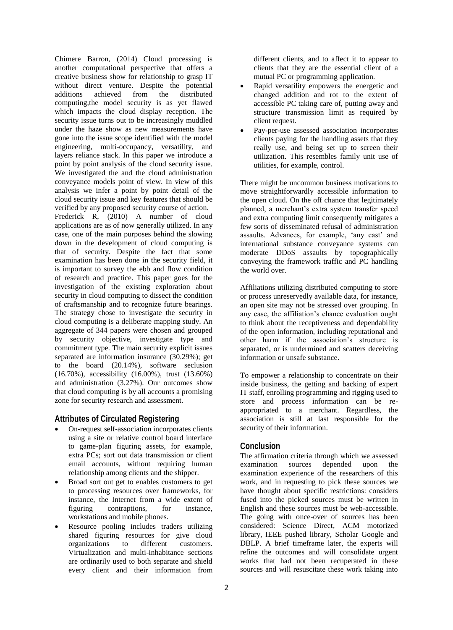Chimere Barron, (2014) Cloud processing is another computational perspective that offers a creative business show for relationship to grasp IT without direct venture. Despite the potential additions achieved from the distributed computing,the model security is as yet flawed which impacts the cloud display reception. The security issue turns out to be increasingly muddled under the haze show as new measurements have gone into the issue scope identified with the model engineering, multi-occupancy, versatility, and layers reliance stack. In this paper we introduce a point by point analysis of the cloud security issue. We investigated the and the cloud administration conveyance models point of view. In view of this analysis we infer a point by point detail of the cloud security issue and key features that should be verified by any proposed security course of action. Frederick R, (2010) A number of cloud applications are as of now generally utilized. In any case, one of the main purposes behind the slowing down in the development of cloud computing is that of security. Despite the fact that some examination has been done in the security field, it is important to survey the ebb and flow condition of research and practice. This paper goes for the investigation of the existing exploration about security in cloud computing to dissect the condition of craftsmanship and to recognize future bearings. The strategy chose to investigate the security in cloud computing is a deliberate mapping study. An aggregate of 344 papers were chosen and grouped by security objective, investigate type and commitment type. The main security explicit issues separated are information insurance (30.29%); get to the board (20.14%), software seclusion (16.70%), accessibility (16.00%), trust (13.60%) and administration (3.27%). Our outcomes show that cloud computing is by all accounts a promising zone for security research and assessment.

# **Attributes of Circulated Registering**

- On-request self-association incorporates clients using a site or relative control board interface to game-plan figuring assets, for example, extra PCs; sort out data transmission or client email accounts, without requiring human relationship among clients and the shipper.
- Broad sort out get to enables customers to get to processing resources over frameworks, for instance, the Internet from a wide extent of figuring contraptions, for instance, workstations and mobile phones.
- Resource pooling includes traders utilizing shared figuring resources for give cloud organizations to different customers. Virtualization and multi-inhabitance sections are ordinarily used to both separate and shield every client and their information from

different clients, and to affect it to appear to clients that they are the essential client of a mutual PC or programming application.

- Rapid versatility empowers the energetic and changed addition and rot to the extent of accessible PC taking care of, putting away and structure transmission limit as required by client request.
- Pay-per-use assessed association incorporates clients paying for the handling assets that they really use, and being set up to screen their utilization. This resembles family unit use of utilities, for example, control.

There might be uncommon business motivations to move straightforwardly accessible information to the open cloud. On the off chance that legitimately planned, a merchant's extra system transfer speed and extra computing limit consequently mitigates a few sorts of disseminated refusal of administration assaults. Advances, for example, 'any cast' and international substance conveyance systems can moderate DDoS assaults by topographically conveying the framework traffic and PC handling the world over.

Affiliations utilizing distributed computing to store or process unreservedly available data, for instance, an open site may not be stressed over grouping. In any case, the affiliation's chance evaluation ought to think about the receptiveness and dependability of the open information, including reputational and other harm if the association's structure is separated, or is undermined and scatters deceiving information or unsafe substance.

To empower a relationship to concentrate on their inside business, the getting and backing of expert IT staff, enrolling programming and rigging used to store and process information can be reappropriated to a merchant. Regardless, the association is still at last responsible for the security of their information.

# **Conclusion**

The affirmation criteria through which we assessed examination sources depended upon the examination experience of the researchers of this work, and in requesting to pick these sources we have thought about specific restrictions: considers fused into the picked sources must be written in English and these sources must be web-accessible. The going with once-over of sources has been considered: Science Direct, ACM motorized library, IEEE pushed library, Scholar Google and DBLP. A brief timeframe later, the experts will refine the outcomes and will consolidate urgent works that had not been recuperated in these sources and will resuscitate these work taking into